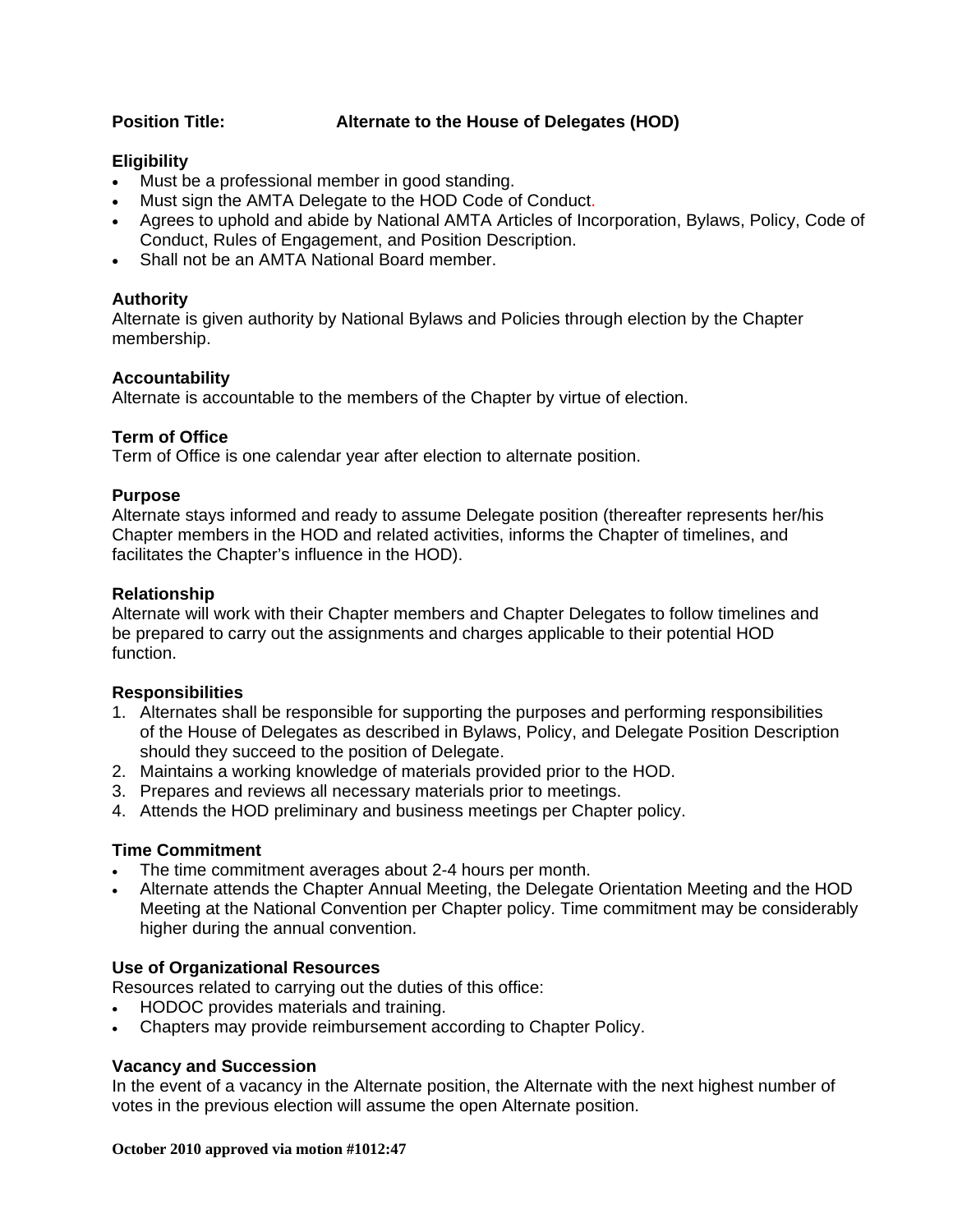# **Position Title: Alternate to the House of Delegates (HOD)**

# **Eligibility**

- Must be a professional member in good standing.
- Must sign the AMTA Delegate to the HOD Code of Conduct.
- Agrees to uphold and abide by National AMTA Articles of Incorporation, Bylaws, Policy, Code of Conduct, Rules of Engagement, and Position Description.
- Shall not be an AMTA National Board member.

# **Authority**

Alternate is given authority by National Bylaws and Policies through election by the Chapter membership.

### **Accountability**

Alternate is accountable to the members of the Chapter by virtue of election.

### **Term of Office**

Term of Office is one calendar year after election to alternate position.

### **Purpose**

Alternate stays informed and ready to assume Delegate position (thereafter represents her/his Chapter members in the HOD and related activities, informs the Chapter of timelines, and facilitates the Chapter's influence in the HOD).

### **Relationship**

Alternate will work with their Chapter members and Chapter Delegates to follow timelines and be prepared to carry out the assignments and charges applicable to their potential HOD function.

### **Responsibilities**

- 1. Alternates shall be responsible for supporting the purposes and performing responsibilities of the House of Delegates as described in Bylaws, Policy, and Delegate Position Description should they succeed to the position of Delegate.
- 2. Maintains a working knowledge of materials provided prior to the HOD.
- 3. Prepares and reviews all necessary materials prior to meetings.
- 4. Attends the HOD preliminary and business meetings per Chapter policy.

### **Time Commitment**

- The time commitment averages about 2-4 hours per month.
- Alternate attends the Chapter Annual Meeting, the Delegate Orientation Meeting and the HOD Meeting at the National Convention per Chapter policy. Time commitment may be considerably higher during the annual convention.

# **Use of Organizational Resources**

Resources related to carrying out the duties of this office:

- HODOC provides materials and training.
- Chapters may provide reimbursement according to Chapter Policy.

### **Vacancy and Succession**

In the event of a vacancy in the Alternate position, the Alternate with the next highest number of votes in the previous election will assume the open Alternate position.

#### **October 2010 approved via motion #1012:47**